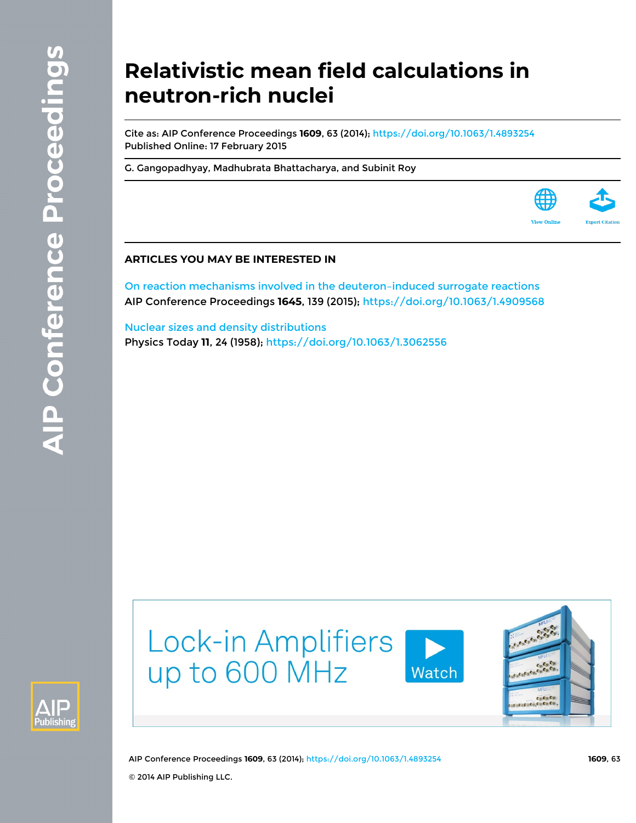# **Relativistic mean field calculations in neutron-rich nuclei**

Cite as: AIP Conference Proceedings **1609**, 63 (2014);<https://doi.org/10.1063/1.4893254> Published Online: 17 February 2015

[G. Gangopadhyay](https://aip.scitation.org/author/Gangopadhyay%2C+G), [Madhubrata Bhattacharya](https://aip.scitation.org/author/Bhattacharya%2C+Madhubrata), and [Subinit Roy](https://aip.scitation.org/author/Roy%2C+Subinit)



[On reaction mechanisms involved in the deuteron–induced surrogate reactions](https://aip.scitation.org/doi/10.1063/1.4909568) AIP Conference Proceedings **1645**, 139 (2015);<https://doi.org/10.1063/1.4909568>

[Nuclear sizes and density distributions](https://aip.scitation.org/doi/10.1063/1.3062556) Physics Today **11**, 24 (1958);<https://doi.org/10.1063/1.3062556>





AIP Conference Proceedings **1609**, 63 (2014); <https://doi.org/10.1063/1.4893254> **1609**, 63 © 2014 AIP Publishing LLC.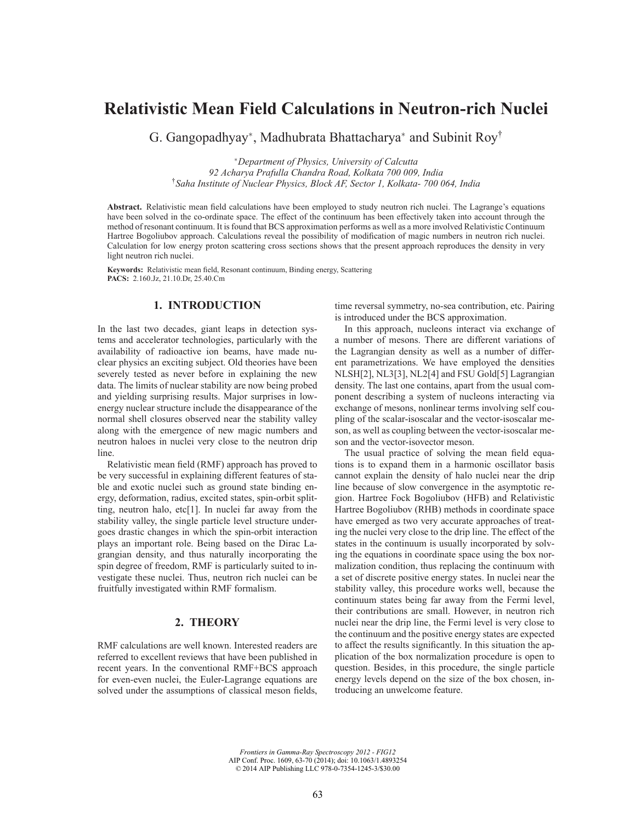# **Relativistic Mean Field Calculations in Neutron-rich Nuclei**

G. Gangopadhyay<sup>∗</sup> , Madhubrata Bhattacharya<sup>∗</sup> and Subinit Roy†

<sup>∗</sup>*Department of Physics, University of Calcutta 92 Acharya Prafulla Chandra Road, Kolkata 700 009, India* †*Saha Institute of Nuclear Physics, Block AF, Sector 1, Kolkata- 700 064, India*

**Abstract.** Relativistic mean field calculations have been employed to study neutron rich nuclei. The Lagrange's equations have been solved in the co-ordinate space. The effect of the continuum has been effectively taken into account through the method of resonant continuum. It is found that BCS approximation performs as well as a more involved Relativistic Continuum Hartree Bogoliubov approach. Calculations reveal the possibility of modification of magic numbers in neutron rich nuclei. Calculation for low energy proton scattering cross sections shows that the present approach reproduces the density in very light neutron rich nuclei.

**Keywords:** Relativistic mean field, Resonant continuum, Binding energy, Scattering **PACS:** 2.160.Jz, 21.10.Dr, 25.40.Cm

# **1. INTRODUCTION**

In the last two decades, giant leaps in detection systems and accelerator technologies, particularly with the availability of radioactive ion beams, have made nuclear physics an exciting subject. Old theories have been severely tested as never before in explaining the new data. The limits of nuclear stability are now being probed and yielding surprising results. Major surprises in lowenergy nuclear structure include the disappearance of the normal shell closures observed near the stability valley along with the emergence of new magic numbers and neutron haloes in nuclei very close to the neutron drip line.

Relativistic mean field (RMF) approach has proved to be very successful in explaining different features of stable and exotic nuclei such as ground state binding energy, deformation, radius, excited states, spin-orbit splitting, neutron halo, etc[1]. In nuclei far away from the stability valley, the single particle level structure undergoes drastic changes in which the spin-orbit interaction plays an important role. Being based on the Dirac Lagrangian density, and thus naturally incorporating the spin degree of freedom, RMF is particularly suited to investigate these nuclei. Thus, neutron rich nuclei can be fruitfully investigated within RMF formalism.

#### **2. THEORY**

RMF calculations are well known. Interested readers are referred to excellent reviews that have been published in recent years. In the conventional RMF+BCS approach for even-even nuclei, the Euler-Lagrange equations are solved under the assumptions of classical meson fields, time reversal symmetry, no-sea contribution, etc. Pairing is introduced under the BCS approximation.

In this approach, nucleons interact via exchange of a number of mesons. There are different variations of the Lagrangian density as well as a number of different parametrizations. We have employed the densities NLSH[2], NL3[3], NL2[4] and FSU Gold[5] Lagrangian density. The last one contains, apart from the usual component describing a system of nucleons interacting via exchange of mesons, nonlinear terms involving self coupling of the scalar-isoscalar and the vector-isoscalar meson, as well as coupling between the vector-isoscalar meson and the vector-isovector meson.

The usual practice of solving the mean field equations is to expand them in a harmonic oscillator basis cannot explain the density of halo nuclei near the drip line because of slow convergence in the asymptotic region. Hartree Fock Bogoliubov (HFB) and Relativistic Hartree Bogoliubov (RHB) methods in coordinate space have emerged as two very accurate approaches of treating the nuclei very close to the drip line. The effect of the states in the continuum is usually incorporated by solving the equations in coordinate space using the box normalization condition, thus replacing the continuum with a set of discrete positive energy states. In nuclei near the stability valley, this procedure works well, because the continuum states being far away from the Fermi level, their contributions are small. However, in neutron rich nuclei near the drip line, the Fermi level is very close to the continuum and the positive energy states are expected to affect the results significantly. In this situation the application of the box normalization procedure is open to question. Besides, in this procedure, the single particle energy levels depend on the size of the box chosen, introducing an unwelcome feature.

*Frontiers in Gamma-Ray Spectroscopy 2012 - FIG12* AIP Conf. Proc. 1609, 63-70 (2014); doi: 10.1063/1.4893254 © 2014 AIP Publishing LLC 978-0-7354-1245-3/\$30.00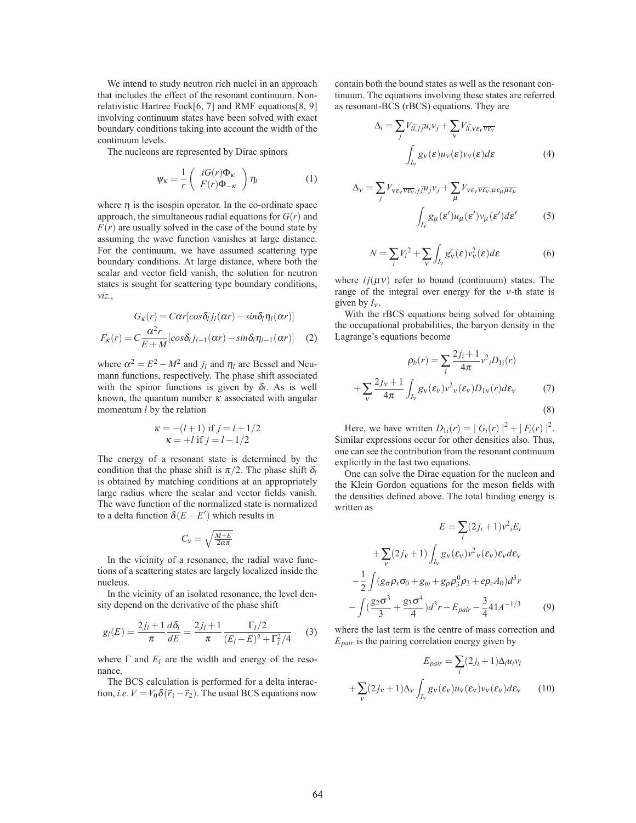We intend to study neutron rich nuclei in an approach that includes the effect of the resonant continuum. Nonrelativistic Hartree Fock[6, 7] and RMF equations[8, 9] involving continuum states have been solved with exact boundary conditions taking into account the width of the continuum levels.

The nucleons are represented by Dirac spinors

$$
\Psi_{\kappa} = \frac{1}{r} \left( \begin{array}{c} iG(r)\Phi_{\kappa} \\ F(r)\Phi_{-\kappa} \end{array} \right) \eta_{t} \tag{1}
$$

where  $\eta$  is the isospin operator. In the co-ordinate space approach, the simultaneous radial equations for  $G(r)$  and  $F(r)$  are usually solved in the case of the bound state by assuming the wave function vanishes at large distance. For the continuum, we have assumed scattering type boundary conditions. At large distance, where both the scalar and vector field vanish, the solution for neutron states is sought for scattering type boundary conditions, *viz.*,

$$
G_{\kappa}(r) = C\alpha r[cos\delta_{l}j_{l}(\alpha r) - sin\delta_{l}\eta_{l}(\alpha r)]
$$

$$
F_{\kappa}(r) = C\frac{\alpha^{2}r}{E+M}[cos\delta_{l}j_{l-1}(\alpha r) - sin\delta_{l}\eta_{l-1}(\alpha r)] \quad (2)
$$

where  $\alpha^2 = E^2 - M^2$  and  $j_l$  and  $\eta_l$  are Bessel and Neumann functions, respectively. The phase shift associated with the spinor functions is given by  $\delta_l$ . As is well known, the quantum number  $\kappa$  associated with angular momentum *l* by the relation

$$
\kappa = -(l+1) \text{ if } j = l+1/2 \kappa = +l \text{ if } j = l-1/2
$$

The energy of a resonant state is determined by the condition that the phase shift is  $\pi/2$ . The phase shift  $\delta_l$ is obtained by matching conditions at an appropriately large radius where the scalar and vector fields vanish. The wave function of the normalized state is normalized to a delta function  $\delta(E - E')$  which results in

$$
C_V=\sqrt{\tfrac{M+E}{2\alpha\pi}}
$$

In the vicinity of a resonance, the radial wave functions of a scattering states are largely localized inside the nucleus.

In the vicinity of an isolated resonance, the level density depend on the derivative of the phase shift

$$
g_l(E) = \frac{2j_l + 1}{\pi} \frac{d\delta_l}{dE} = \frac{2j_l + 1}{\pi} \frac{\Gamma_l/2}{(E_l - E)^2 + \Gamma_l^2/4}
$$
(3)

where  $\Gamma$  and  $E_l$  are the width and energy of the resonance.

The BCS calculation is performed for a delta interaction, *i.e.*  $V = V_0 \delta(\vec{r}_1 - \vec{r}_2)$ . The usual BCS equations now

contain both the bound states as well as the resonant continuum. The equations involving these states are referred as resonant-BCS (rBCS) equations. They are

$$
\Delta_{i} = \sum_{j} V_{i\bar{i},j} u_{i} v_{j} + \sum_{v} V_{i\bar{i}, v \varepsilon_{v} \overline{v \varepsilon_{v}}}
$$

$$
\int_{I_{v}} g_{v}(\varepsilon) u_{v}(\varepsilon) v_{v}(\varepsilon) d\varepsilon
$$
(4)

$$
\Delta_{v} = \sum_{j} V_{v\varepsilon_{v} \overline{v\varepsilon_{v}},j\overline{j}} u_{j} v_{j} + \sum_{\mu} V_{v\varepsilon_{v} \overline{v\varepsilon_{v}},\mu\varepsilon_{\mu} \overline{\mu\varepsilon_{\mu}}}
$$

$$
\int_{I_{v}} g_{\mu}(\varepsilon') u_{\mu}(\varepsilon') v_{\mu}(\varepsilon') d\varepsilon'
$$
(5)

$$
N = \sum_{i} V_i^2 + \sum_{v} \int_{I_v} g_v^c(\varepsilon) v_v^2(\varepsilon) d\varepsilon
$$
 (6)

where  $ij(\mu \nu)$  refer to bound (continuum) states. The range of the integral over energy for the <sup>ν</sup>-th state is given by *I*ν.

With the rBCS equations being solved for obtaining the occupational probabilities, the baryon density in the Lagrange's equations become

$$
\rho_b(r) = \sum_i \frac{2j_i + 1}{4\pi} v^2_i D_{1i}(r)
$$

$$
+ \sum_{v} \frac{2j_v + 1}{4\pi} \int_{I_v} g_v(\varepsilon_v) v^2 v(\varepsilon_v) D_{1v}(r) d\varepsilon_v \tag{3}
$$

Here, we have written  $D_{1i}(r) = |G_i(r)|^2 + |F_i(r)|^2$ . Similar expressions occur for other densities also. Thus, one can see the contribution from the resonant continuum explicitly in the last two equations.

One can solve the Dirac equation for the nucleon and the Klein Gordon equations for the meson fields with the densities defined above. The total binding energy is written as

$$
E = \sum_{i} (2j_i + 1)v^2_i E_i
$$
  
+ $\sum_{v} (2j_v + 1) \int_{I_v} g_v(\varepsilon_v) v^2 v(\varepsilon_v) \varepsilon_v d\varepsilon_v$   
- $\frac{1}{2} \int (g_{\sigma} \rho_s \sigma_0 + g_{\omega} + g_{\rho} \rho_s^0 \rho_3 + e \rho_c A_0) d^3 r$   
- $\int (\frac{g_2 \sigma^3}{3} + \frac{g_3 \sigma^4}{4}) d^3 r - E_{pair} - \frac{3}{4} 41 A^{-1/3}$  (9)

where the last term is the centre of mass correction and *Epair* is the pairing correlation energy given by

$$
E_{pair} = \sum_{i} (2j_i + 1) \Delta_i u_i v_i
$$

$$
+ \sum_{V} (2j_V + 1) \Delta_V \int_{I_V} g_V(\varepsilon_V) u_V(\varepsilon_V) v_V(\varepsilon_V) d\varepsilon_V \qquad (10)
$$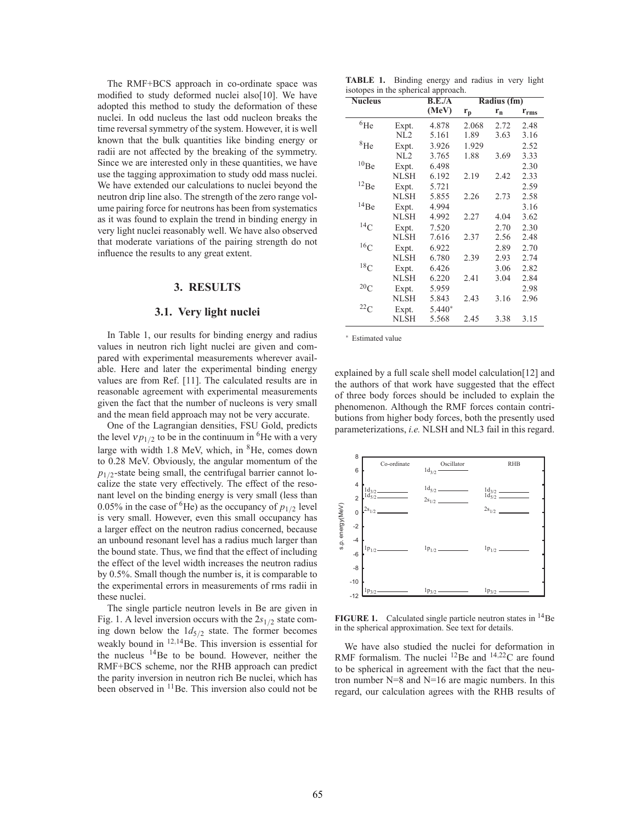The RMF+BCS approach in co-ordinate space was modified to study deformed nuclei also[10]. We have adopted this method to study the deformation of these nuclei. In odd nucleus the last odd nucleon breaks the time reversal symmetry of the system. However, it is well known that the bulk quantities like binding energy or radii are not affected by the breaking of the symmetry. Since we are interested only in these quantities, we have use the tagging approximation to study odd mass nuclei. We have extended our calculations to nuclei beyond the neutron drip line also. The strength of the zero range volume pairing force for neutrons has been from systematics as it was found to explain the trend in binding energy in very light nuclei reasonably well. We have also observed that moderate variations of the pairing strength do not influence the results to any great extent.

## **3. RESULTS**

#### **3.1. Very light nuclei**

In Table 1, our results for binding energy and radius values in neutron rich light nuclei are given and compared with experimental measurements wherever available. Here and later the experimental binding energy values are from Ref. [11]. The calculated results are in reasonable agreement with experimental measurements given the fact that the number of nucleons is very small and the mean field approach may not be very accurate.

One of the Lagrangian densities, FSU Gold, predicts the level  $vp_{1/2}$  to be in the continuum in <sup>6</sup>He with a very large with width 1.8 MeV, which, in <sup>8</sup>He, comes down to 0.28 MeV. Obviously, the angular momentum of the  $p_{1/2}$ -state being small, the centrifugal barrier cannot localize the state very effectively. The effect of the resonant level on the binding energy is very small (less than 0.05% in the case of <sup>6</sup>He) as the occupancy of  $p_{1/2}$  level is very small. However, even this small occupancy has a larger effect on the neutron radius concerned, because an unbound resonant level has a radius much larger than the bound state. Thus, we find that the effect of including the effect of the level width increases the neutron radius by 0.5%. Small though the number is, it is comparable to the experimental errors in measurements of rms radii in these nuclei.

The single particle neutron levels in Be are given in Fig. 1. A level inversion occurs with the  $2s_{1/2}$  state coming down below the  $1d_{5/2}$  state. The former becomes weakly bound in <sup>12,14</sup>Be. This inversion is essential for the nucleus 14Be to be bound. However, neither the RMF+BCS scheme, nor the RHB approach can predict the parity inversion in neutron rich Be nuclei, which has been observed in  $^{11}$ Be. This inversion also could not be

**TABLE 1.** Binding energy and radius in very light isotopes in the spherical approach.

| <b>Nucleus</b>  |             | B.E.A    | Radius (fm) |         |           |
|-----------------|-------------|----------|-------------|---------|-----------|
|                 |             | (MeV)    | $r_p$       | $r_{n}$ | $r_{rms}$ |
| ${}^{6}$ He     | Expt.       | 4.878    | 2.068       | 2.72    | 2.48      |
|                 | NI.2        | 5.161    | 1.89        | 3.63    | 3.16      |
| ${}^{8}$ He     | Expt.       | 3.926    | 1.929       |         | 2.52      |
|                 | NI.2        | 3.765    | 1.88        | 3.69    | 3.33      |
| 10Be            | Expt.       | 6.498    |             |         | 2.30      |
|                 | <b>NLSH</b> | 6.192    | 2.19        | 2.42    | 2.33      |
| $^{12}Be$       | Expt.       | 5.721    |             |         | 2.59      |
|                 | NLSH        | 5.855    | 2.26        | 2.73    | 2.58      |
| $^{14}Be$       | Expt.       | 4.994    |             |         | 3.16      |
|                 | <b>NLSH</b> | 4.992    | 2.27        | 4.04    | 3.62      |
| $^{14}$ C       | Expt.       | 7.520    |             | 2.70    | 2.30      |
|                 | <b>NLSH</b> | 7.616    | 2.37        | 2.56    | 2.48      |
| 16 <sub>C</sub> | Expt.       | 6.922    |             | 2.89    | 2.70      |
|                 | <b>NLSH</b> | 6.780    | 2.39        | 2.93    | 2.74      |
| $^{18}$ C       | Expt.       | 6.426    |             | 3.06    | 2.82      |
|                 | <b>NLSH</b> | 6.220    | 2.41        | 3.04    | 2.84      |
| 20 <sub>C</sub> | Expt.       | 5.959    |             |         | 2.98      |
|                 | <b>NLSH</b> | 5.843    | 2.43        | 3.16    | 2.96      |
| $^{22}C$        | Expt.       | $5.440*$ |             |         |           |
|                 | <b>NLSH</b> | 5.568    | 2.45        | 3.38    | 3.15      |

<sup>∗</sup> Estimated value

explained by a full scale shell model calculation[12] and the authors of that work have suggested that the effect of three body forces should be included to explain the phenomenon. Although the RMF forces contain contributions from higher body forces, both the presently used parameterizations, *i.e.* NLSH and NL3 fail in this regard.



**FIGURE 1.** Calculated single particle neutron states in <sup>14</sup>Be in the spherical approximation. See text for details.

We have also studied the nuclei for deformation in RMF formalism. The nuclei  $^{12}$ Be and  $^{14,22}$ C are found to be spherical in agreement with the fact that the neutron number N=8 and N=16 are magic numbers. In this regard, our calculation agrees with the RHB results of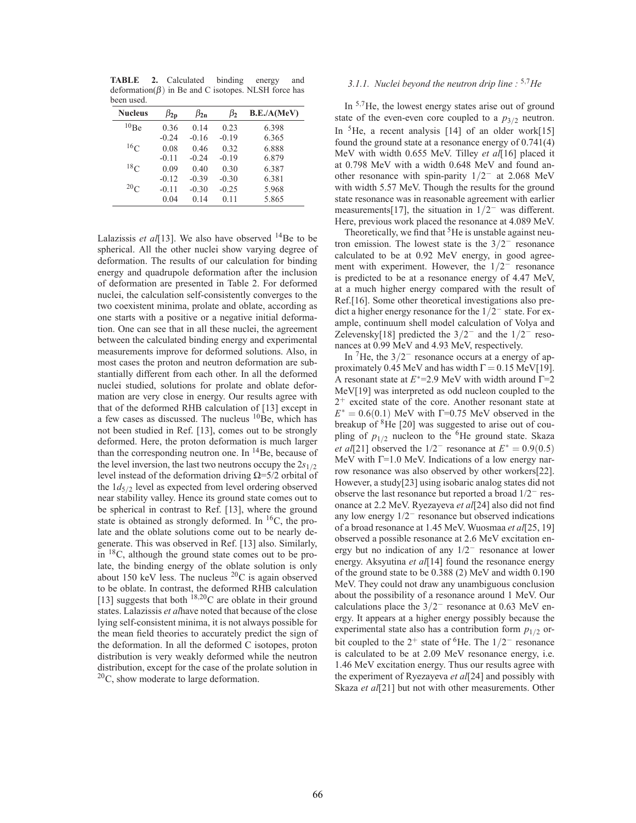**TABLE 2.** Calculated binding energy and deformation( $\beta$ ) in Be and C isotopes. NLSH force has been used.

| <b>Nucleus</b>   | $\beta_{2p}$ | $\beta_{2n}$ | $\beta_2$ | B.E./A(MeV) |
|------------------|--------------|--------------|-----------|-------------|
| $10_{\text{Be}}$ | 0.36         | 0.14         | 0.23      | 6.398       |
|                  | $-0.24$      | $-0.16$      | $-0.19$   | 6.365       |
| 16 <sub>C</sub>  | 0.08         | 0.46         | 0.32      | 6.888       |
|                  | $-0.11$      | $-0.24$      | $-0.19$   | 6.879       |
| 18 <sub>C</sub>  | 0.09         | 0.40         | 0.30      | 6.387       |
|                  | $-0.12$      | $-0.39$      | $-0.30$   | 6.381       |
| $20\text{C}$     | $-0.11$      | $-0.30$      | $-0.25$   | 5.968       |
|                  | 0.04         | 0.14         | 0.11      | 5.865       |

Lalazissis *et al*[13]. We also have observed  $^{14}$ Be to be spherical. All the other nuclei show varying degree of deformation. The results of our calculation for binding energy and quadrupole deformation after the inclusion of deformation are presented in Table 2. For deformed nuclei, the calculation self-consistently converges to the two coexistent minima, prolate and oblate, according as one starts with a positive or a negative initial deformation. One can see that in all these nuclei, the agreement between the calculated binding energy and experimental measurements improve for deformed solutions. Also, in most cases the proton and neutron deformation are substantially different from each other. In all the deformed nuclei studied, solutions for prolate and oblate deformation are very close in energy. Our results agree with that of the deformed RHB calculation of [13] except in a few cases as discussed. The nucleus  ${}^{10}$ Be, which has not been studied in Ref. [13], comes out to be strongly deformed. Here, the proton deformation is much larger than the corresponding neutron one. In  $^{14}$ Be, because of the level inversion, the last two neutrons occupy the  $2s<sub>1/2</sub>$ level instead of the deformation driving  $\Omega = 5/2$  orbital of the  $1d_{5/2}$  level as expected from level ordering observed near stability valley. Hence its ground state comes out to be spherical in contrast to Ref. [13], where the ground state is obtained as strongly deformed. In  ${}^{16}C$ , the prolate and the oblate solutions come out to be nearly degenerate. This was observed in Ref. [13] also. Similarly, in 18C, although the ground state comes out to be prolate, the binding energy of the oblate solution is only about 150 keV less. The nucleus  ${}^{20}C$  is again observed to be oblate. In contrast, the deformed RHB calculation [13] suggests that both  $^{18,20}$ C are oblate in their ground states. Lalazissis *et al*have noted that because of the close lying self-consistent minima, it is not always possible for the mean field theories to accurately predict the sign of the deformation. In all the deformed C isotopes, proton distribution is very weakly deformed while the neutron distribution, except for the case of the prolate solution in  $20$ C, show moderate to large deformation.

# *3.1.1. Nuclei beyond the neutron drip line :* <sup>5</sup>,7*He*

In <sup>5,7</sup>He, the lowest energy states arise out of ground state of the even-even core coupled to a  $p_{3/2}$  neutron. In  ${}^{5}$ He, a recent analysis [14] of an older work[15] found the ground state at a resonance energy of 0.741(4) MeV with width 0.655 MeV. Tilley *et al*[16] placed it at 0.798 MeV with a width 0.648 MeV and found another resonance with spin-parity 1/2<sup>−</sup> at 2.068 MeV with width 5.57 MeV. Though the results for the ground state resonance was in reasonable agreement with earlier measurements[17], the situation in  $1/2^-$  was different. Here, previous work placed the resonance at 4.089 MeV.

Theoretically, we find that  ${}^{5}$ He is unstable against neutron emission. The lowest state is the 3/2<sup>−</sup> resonance calculated to be at 0.92 MeV energy, in good agreement with experiment. However, the 1/2<sup>−</sup> resonance is predicted to be at a resonance energy of 4.47 MeV, at a much higher energy compared with the result of Ref.[16]. Some other theoretical investigations also predict a higher energy resonance for the 1/2<sup>−</sup> state. For example, continuum shell model calculation of Volya and Zelevensky[18] predicted the  $3/2^-$  and the  $1/2^-$  resonances at 0.99 MeV and 4.93 MeV, respectively.

In  $\pi$ He, the 3/2<sup>-</sup> resonance occurs at a energy of approximately 0.45 MeV and has width  $\Gamma = 0.15$  MeV[19]. A resonant state at *E*∗=2.9 MeV with width around Γ=2 MeV[19] was interpreted as odd nucleon coupled to the  $2^+$  excited state of the core. Another resonant state at  $E^* = 0.6(0.1)$  MeV with  $\Gamma = 0.75$  MeV observed in the breakup of  ${}^{8}$ He [20] was suggested to arise out of coupling of  $p_{1/2}$  nucleon to the <sup>6</sup>He ground state. Skaza *et al*[21] observed the  $1/2^-$  resonance at  $E^* = 0.9(0.5)$ MeV with Γ=1.0 MeV. Indications of a low energy narrow resonance was also observed by other workers[22]. However, a study[23] using isobaric analog states did not observe the last resonance but reported a broad 1/2<sup>−</sup> resonance at 2.2 MeV. Ryezayeva *et al*[24] also did not find any low energy 1/2<sup>−</sup> resonance but observed indications of a broad resonance at 1.45 MeV. Wuosmaa *et al*[25, 19] observed a possible resonance at 2.6 MeV excitation energy but no indication of any 1/2<sup>−</sup> resonance at lower energy. Aksyutina *et al*[14] found the resonance energy of the ground state to be 0.388 (2) MeV and width 0.190 MeV. They could not draw any unambiguous conclusion about the possibility of a resonance around 1 MeV. Our calculations place the  $3/2^-$  resonance at 0.63 MeV energy. It appears at a higher energy possibly because the experimental state also has a contribution form  $p_{1/2}$  orbit coupled to the  $2^+$  state of <sup>6</sup>He. The  $1/2^-$  resonance is calculated to be at 2.09 MeV resonance energy, i.e. 1.46 MeV excitation energy. Thus our results agree with the experiment of Ryezayeva *et al*[24] and possibly with Skaza et al<sup>[21]</sup> but not with other measurements. Other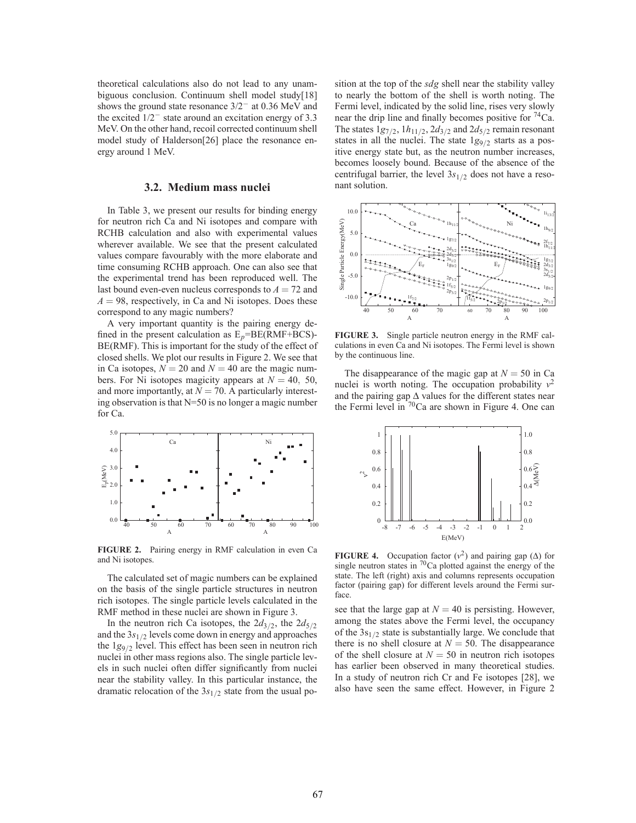theoretical calculations also do not lead to any unambiguous conclusion. Continuum shell model study[18] shows the ground state resonance 3/2<sup>−</sup> at 0.36 MeV and the excited 1/2<sup>−</sup> state around an excitation energy of 3.3 MeV. On the other hand, recoil corrected continuum shell model study of Halderson[26] place the resonance energy around 1 MeV.

#### **3.2. Medium mass nuclei**

In Table 3, we present our results for binding energy for neutron rich Ca and Ni isotopes and compare with RCHB calculation and also with experimental values wherever available. We see that the present calculated values compare favourably with the more elaborate and time consuming RCHB approach. One can also see that the experimental trend has been reproduced well. The last bound even-even nucleus corresponds to  $A = 72$  and  $A = 98$ , respectively, in Ca and Ni isotopes. Does these correspond to any magic numbers?

A very important quantity is the pairing energy defined in the present calculation as  $E_p = BE(RMF + BCS)$ -BE(RMF). This is important for the study of the effect of closed shells. We plot our results in Figure 2. We see that in Ca isotopes,  $N = 20$  and  $N = 40$  are the magic numbers. For Ni isotopes magicity appears at  $N = 40, 50,$ and more importantly, at  $N = 70$ . A particularly interesting observation is that  $N=50$  is no longer a magic number for Ca.



**FIGURE 2.** Pairing energy in RMF calculation in even Ca and Ni isotopes.

The calculated set of magic numbers can be explained on the basis of the single particle structures in neutron rich isotopes. The single particle levels calculated in the RMF method in these nuclei are shown in Figure 3.

In the neutron rich Ca isotopes, the  $2d_{3/2}$ , the  $2d_{5/2}$ and the  $3s_{1/2}$  levels come down in energy and approaches the 1*g*9/<sup>2</sup> level. This effect has been seen in neutron rich nuclei in other mass regions also. The single particle levels in such nuclei often differ significantly from nuclei near the stability valley. In this particular instance, the dramatic relocation of the 3*s*1/<sup>2</sup> state from the usual position at the top of the *sdg* shell near the stability valley to nearly the bottom of the shell is worth noting. The Fermi level, indicated by the solid line, rises very slowly near the drip line and finally becomes positive for  $^{74}Ca$ . The states  $1g_{7/2}$ ,  $1h_{11/2}$ ,  $2d_{3/2}$  and  $2d_{5/2}$  remain resonant states in all the nuclei. The state  $1g_{9/2}$  starts as a positive energy state but, as the neutron number increases, becomes loosely bound. Because of the absence of the centrifugal barrier, the level 3*s*1/<sup>2</sup> does not have a resonant solution.



**FIGURE 3.** Single particle neutron energy in the RMF calculations in even Ca and Ni isotopes. The Fermi level is shown by the continuous line.

The disappearance of the magic gap at  $N = 50$  in Ca nuclei is worth noting. The occupation probability  $v^2$ and the pairing gap  $\Delta$  values for the different states near the Fermi level in  ${}^{70}Ca$  are shown in Figure 4. One can



**FIGURE 4.** Occupation factor  $(v^2)$  and pairing gap  $(\Delta)$  for single neutron states in  ${}^{70}Ca$  plotted against the energy of the state. The left (right) axis and columns represents occupation factor (pairing gap) for different levels around the Fermi surface.

see that the large gap at  $N = 40$  is persisting. However, among the states above the Fermi level, the occupancy of the  $3s_{1/2}$  state is substantially large. We conclude that there is no shell closure at  $N = 50$ . The disappearance of the shell closure at  $N = 50$  in neutron rich isotopes has earlier been observed in many theoretical studies. In a study of neutron rich Cr and Fe isotopes [28], we also have seen the same effect. However, in Figure 2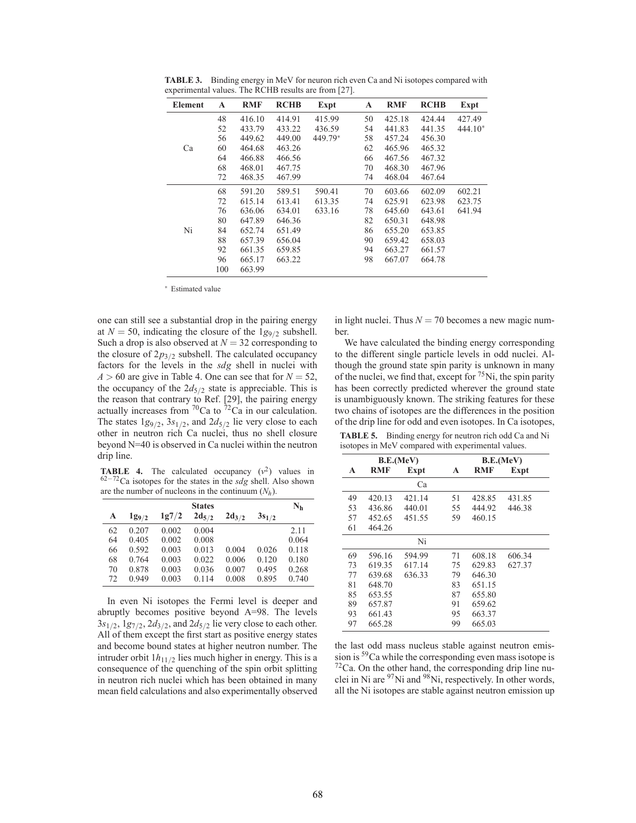| <b>Element</b> | A   | <b>RMF</b> | <b>RCHB</b> | Expt    | A  | <b>RMF</b> | <b>RCHB</b> | Expt      |
|----------------|-----|------------|-------------|---------|----|------------|-------------|-----------|
|                | 48  | 416.10     | 414.91      | 415.99  | 50 | 425.18     | 424.44      | 427.49    |
|                | 52  | 433.79     | 433.22      | 436.59  | 54 | 441.83     | 441.35      | $444.10*$ |
| Ca             | 56  | 449.62     | 449.00      | 449.79* | 58 | 457.24     | 456.30      |           |
|                | 60  | 464.68     | 463.26      |         | 62 | 465.96     | 465.32      |           |
|                | 64  | 466.88     | 466.56      |         | 66 | 467.56     | 467.32      |           |
|                | 68  | 468.01     | 467.75      |         | 70 | 468.30     | 467.96      |           |
|                | 72  | 468.35     | 467.99      |         | 74 | 468.04     | 467.64      |           |
| Ni             | 68  | 591.20     | 589.51      | 590.41  | 70 | 603.66     | 602.09      | 602.21    |
|                | 72  | 615.14     | 613.41      | 613.35  | 74 | 625.91     | 623.98      | 623.75    |
|                | 76  | 636.06     | 634.01      | 633.16  | 78 | 645.60     | 643.61      | 641.94    |
|                | 80  | 647.89     | 646.36      |         | 82 | 650.31     | 648.98      |           |
|                | 84  | 652.74     | 651.49      |         | 86 | 655.20     | 653.85      |           |
|                | 88  | 657.39     | 656.04      |         | 90 | 659.42     | 658.03      |           |
|                | 92  | 661.35     | 659.85      |         | 94 | 663.27     | 661.57      |           |
|                | 96  | 665.17     | 663.22      |         | 98 | 667.07     | 664.78      |           |
|                | 100 | 663.99     |             |         |    |            |             |           |

**TABLE 3.** Binding energy in MeV for neuron rich even Ca and Ni isotopes compared with experimental values. The RCHB results are from [27].

<sup>∗</sup> Estimated value

one can still see a substantial drop in the pairing energy at  $N = 50$ , indicating the closure of the  $1g_{9/2}$  subshell. Such a drop is also observed at  $N = 32$  corresponding to the closure of  $2p_{3/2}$  subshell. The calculated occupancy factors for the levels in the *sdg* shell in nuclei with  $A > 60$  are give in Table 4. One can see that for  $N = 52$ , the occupancy of the  $2d_{5/2}$  state is appreciable. This is the reason that contrary to Ref. [29], the pairing energy actually increases from  ${}^{70}Ca$  to  ${}^{72}Ca$  in our calculation. The states  $1g_{9/2}$ ,  $3s_{1/2}$ , and  $2d_{5/2}$  lie very close to each other in neutron rich Ca nuclei, thus no shell closure beyond N=40 is observed in Ca nuclei within the neutron drip line.

**TABLE 4.** The calculated occupancy  $(v^2)$  values in <sup>62</sup>−72Ca isotopes for the states in the *sdg* shell. Also shown are the number of nucleons in the continuum  $(N_h)$ .

|    |            |       | <b>States</b> |            |            | N <sub>h</sub> |
|----|------------|-------|---------------|------------|------------|----------------|
| A  | $1g_{9/2}$ | 1g7/2 | $2d_{5/2}$    | $2d_{3/2}$ | $3s_{1/2}$ |                |
| 62 | 0.207      | 0.002 | 0.004         |            |            | 2.11           |
| 64 | 0.405      | 0.002 | 0.008         |            |            | 0.064          |
| 66 | 0.592      | 0.003 | 0.013         | 0.004      | 0.026      | 0.118          |
| 68 | 0.764      | 0.003 | 0.022         | 0.006      | 0.120      | 0.180          |
| 70 | 0.878      | 0.003 | 0.036         | 0.007      | 0.495      | 0.268          |
| 72 | 0.949      | 0.003 | 0.114         | 0.008      | 0.895      | 0.740          |

In even Ni isotopes the Fermi level is deeper and abruptly becomes positive beyond A=98. The levels  $3s_{1/2}$ ,  $1g_{7/2}$ ,  $2d_{3/2}$ , and  $2d_{5/2}$  lie very close to each other. All of them except the first start as positive energy states and become bound states at higher neutron number. The intruder orbit  $1h_{11/2}$  lies much higher in energy. This is a consequence of the quenching of the spin orbit splitting in neutron rich nuclei which has been obtained in many mean field calculations and also experimentally observed in light nuclei. Thus  $N = 70$  becomes a new magic number.

We have calculated the binding energy corresponding to the different single particle levels in odd nuclei. Although the ground state spin parity is unknown in many of the nuclei, we find that, except for <sup>75</sup>Ni, the spin parity has been correctly predicted wherever the ground state is unambiguously known. The striking features for these two chains of isotopes are the differences in the position of the drip line for odd and even isotopes. In Ca isotopes,

**TABLE 5.** Binding energy for neutron rich odd Ca and Ni isotopes in MeV compared with experimental values.

| B.E.(MeV) |        |        |    |            | B.E.(MeV) |  |
|-----------|--------|--------|----|------------|-----------|--|
| A         | RMF    | Expt   | A  | <b>RMF</b> | Expt      |  |
|           |        | Ca     |    |            |           |  |
| 49        | 420.13 | 421.14 | 51 | 428.85     | 431.85    |  |
| 53        | 436.86 | 440.01 | 55 | 444.92     | 446.38    |  |
| 57        | 452.65 | 451.55 | 59 | 460.15     |           |  |
| 61        | 464.26 |        |    |            |           |  |
|           |        | Ni     |    |            |           |  |
| 69        | 596.16 | 594.99 | 71 | 608.18     | 606.34    |  |
| 73        | 619.35 | 617.14 | 75 | 629.83     | 627.37    |  |
| 77        | 639.68 | 636.33 | 79 | 646.30     |           |  |
| 81        | 648.70 |        | 83 | 651.15     |           |  |
| 85        | 653.55 |        | 87 | 655.80     |           |  |
| 89        | 657.87 |        | 91 | 659.62     |           |  |
| 93        | 661.43 |        | 95 | 663.37     |           |  |
| 97        | 665.28 |        | 99 | 665.03     |           |  |

the last odd mass nucleus stable against neutron emission is <sup>59</sup>Ca while the corresponding even mass isotope is 72Ca. On the other hand, the corresponding drip line nuclei in Ni are <sup>97</sup>Ni and <sup>98</sup>Ni, respectively. In other words, all the Ni isotopes are stable against neutron emission up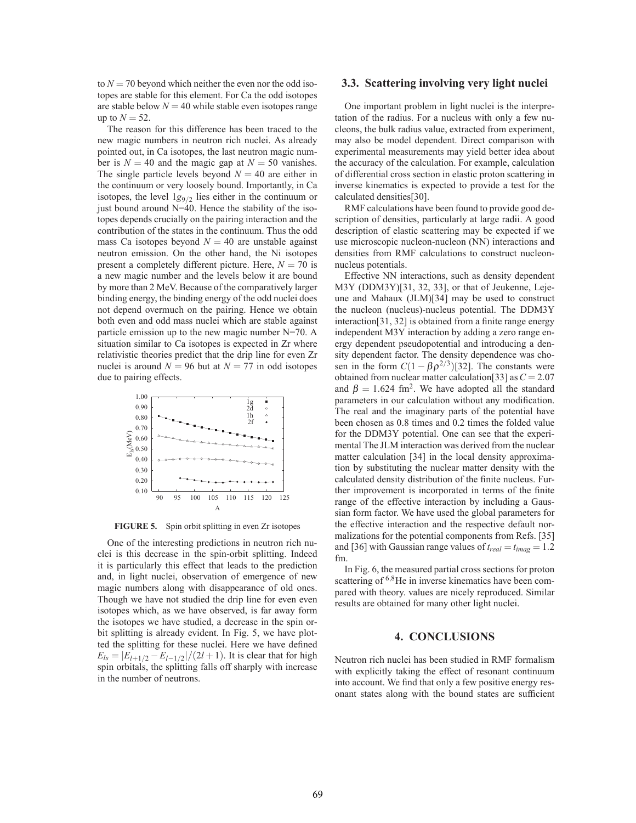to  $N = 70$  beyond which neither the even nor the odd isotopes are stable for this element. For Ca the odd isotopes are stable below  $N = 40$  while stable even isotopes range up to  $N = 52$ .

The reason for this difference has been traced to the new magic numbers in neutron rich nuclei. As already pointed out, in Ca isotopes, the last neutron magic number is  $N = 40$  and the magic gap at  $N = 50$  vanishes. The single particle levels beyond  $N = 40$  are either in the continuum or very loosely bound. Importantly, in Ca isotopes, the level  $1g_{9/2}$  lies either in the continuum or just bound around N=40. Hence the stability of the isotopes depends crucially on the pairing interaction and the contribution of the states in the continuum. Thus the odd mass Ca isotopes beyond  $N = 40$  are unstable against neutron emission. On the other hand, the Ni isotopes present a completely different picture. Here,  $N = 70$  is a new magic number and the levels below it are bound by more than 2 MeV. Because of the comparatively larger binding energy, the binding energy of the odd nuclei does not depend overmuch on the pairing. Hence we obtain both even and odd mass nuclei which are stable against particle emission up to the new magic number N=70. A situation similar to Ca isotopes is expected in Zr where relativistic theories predict that the drip line for even Zr nuclei is around  $N = 96$  but at  $N = 77$  in odd isotopes due to pairing effects.



**FIGURE 5.** Spin orbit splitting in even Zr isotopes

One of the interesting predictions in neutron rich nuclei is this decrease in the spin-orbit splitting. Indeed it is particularly this effect that leads to the prediction and, in light nuclei, observation of emergence of new magic numbers along with disappearance of old ones. Though we have not studied the drip line for even even isotopes which, as we have observed, is far away form the isotopes we have studied, a decrease in the spin orbit splitting is already evident. In Fig. 5, we have plotted the splitting for these nuclei. Here we have defined  $E_{ls} = |E_{l+1/2} - E_{l-1/2}|/(2l+1)$ . It is clear that for high spin orbitals, the splitting falls off sharply with increase in the number of neutrons.

#### **3.3. Scattering involving very light nuclei**

One important problem in light nuclei is the interpretation of the radius. For a nucleus with only a few nucleons, the bulk radius value, extracted from experiment, may also be model dependent. Direct comparison with experimental measurements may yield better idea about the accuracy of the calculation. For example, calculation of differential cross section in elastic proton scattering in inverse kinematics is expected to provide a test for the calculated densities[30].

RMF calculations have been found to provide good description of densities, particularly at large radii. A good description of elastic scattering may be expected if we use microscopic nucleon-nucleon (NN) interactions and densities from RMF calculations to construct nucleonnucleus potentials.

Effective NN interactions, such as density dependent M3Y (DDM3Y)[31, 32, 33], or that of Jeukenne, Lejeune and Mahaux (JLM)[34] may be used to construct the nucleon (nucleus)-nucleus potential. The DDM3Y interaction[31, 32] is obtained from a finite range energy independent M3Y interaction by adding a zero range energy dependent pseudopotential and introducing a density dependent factor. The density dependence was chosen in the form  $C(1 - \beta \rho^{2/3})$ [32]. The constants were obtained from nuclear matter calculation[33] as*C* = 2.07 and  $\beta = 1.624$  fm<sup>2</sup>. We have adopted all the standard parameters in our calculation without any modification. The real and the imaginary parts of the potential have been chosen as 0.8 times and 0.2 times the folded value for the DDM3Y potential. One can see that the experimental The JLM interaction was derived from the nuclear matter calculation [34] in the local density approximation by substituting the nuclear matter density with the calculated density distribution of the finite nucleus. Further improvement is incorporated in terms of the finite range of the effective interaction by including a Gaussian form factor. We have used the global parameters for the effective interaction and the respective default normalizations for the potential components from Refs. [35] and [36] with Gaussian range values of  $t_{real} = t_{imag} = 1.2$ fm.

In Fig. 6, the measured partial cross sections for proton scattering of <sup>6,8</sup>He in inverse kinematics have been compared with theory. values are nicely reproduced. Similar results are obtained for many other light nuclei.

# **4. CONCLUSIONS**

Neutron rich nuclei has been studied in RMF formalism with explicitly taking the effect of resonant continuum into account. We find that only a few positive energy resonant states along with the bound states are sufficient